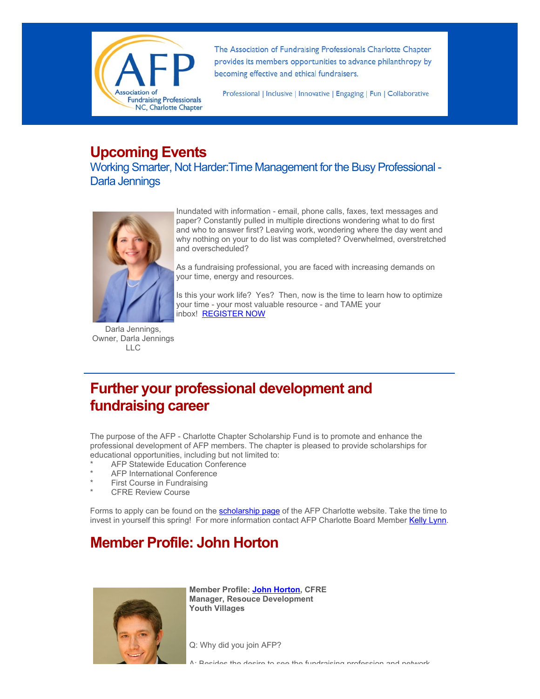

The Association of Fundraising Professionals Charlotte Chapter provides its members opportunities to advance philanthropy by becoming effective and ethical fundraisers.

Professional | Inclusive | Innovative | Engaging | Fun | Collaborative

## **Upcoming Events**

Working Smarter, Not Harder:Time Management for the Busy Professional - Darla Jennings



Darla Jennings, Owner, Darla Jennings LLC

Inundated with information - email, phone calls, faxes, text messages and paper? Constantly pulled in multiple directions wondering what to do first and who to answer first? Leaving work, wondering where the day went and why nothing on your to do list was completed? Overwhelmed, overstretched and overscheduled?

As a fundraising professional, you are faced with increasing demands on your time, energy and resources.

Is this your work life? Yes? Then, now is the time to learn how to optimize your time - your most valuable resource - and TAME your inbox! [REGISTER NOW](http://afp-charlotte.org/rsvp_details.html?id=3434)

# **Further your professional development and fundraising career**

The purpose of the AFP - Charlotte Chapter Scholarship Fund is to promote and enhance the professional development of AFP members. The chapter is pleased to provide scholarships for educational opportunities, including but not limited to:

- AFP Statewide Education Conference
- AFP International Conference
- First Course in Fundraising
- **CFRE Review Course**

Forms to apply can be found on the [scholarship page](http://afp-charlotte.org/scholarships.html) of the AFP Charlotte website. Take the time to invest in yourself this spring! For more information contact AFP Charlotte Board Member [Kelly Lynn.](mailto:KLynn@charlottefamilyhousing.org)

## **Member Profile: John Horton**



**Member Profile: [John Horton,](mailto:john.horton@youthvillages.org) CFRE Manager, Resouce Development Youth Villages**

Q: Why did you join AFP?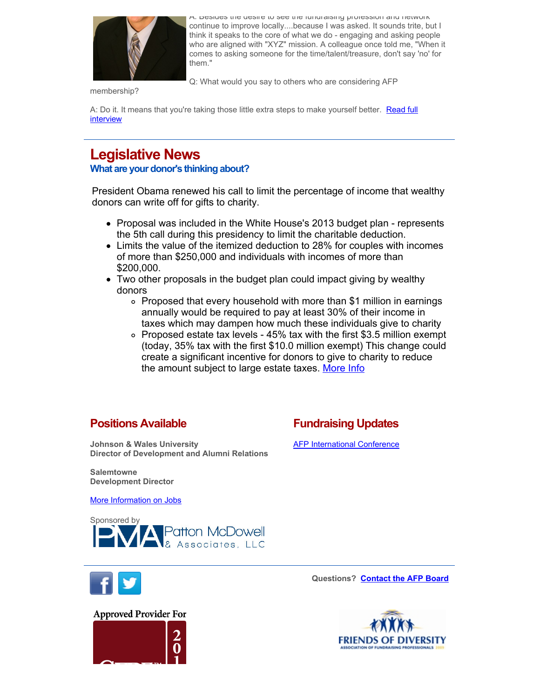

A: Besides the desire to see the fundraising profession and network continue to improve locally....because I was asked. It sounds trite, but I think it speaks to the core of what we do - engaging and asking people who are aligned with "XYZ" mission. A colleague once told me, "When it comes to asking someone for the time/talent/treasure, don't say 'no' for them."

Q: What would you say to others who are considering AFP

membership?

[A: Do it. It means that you're taking those little extra steps to make yourself better. Read full](http://www.afp-charlotte.org/customers/102012921065393/filemanager/Horton_John_Member_Profile.pdf) interview

## **Legislative News**

**What are your donor's thinking about?**

President Obama renewed his call to limit the percentage of income that wealthy donors can write off for gifts to charity.

- Proposal was included in the White House's 2013 budget plan represents the 5th call during this presidency to limit the charitable deduction.
- Limits the value of the itemized deduction to 28% for couples with incomes of more than \$250,000 and individuals with incomes of more than \$200,000.
- Two other proposals in the budget plan could impact giving by wealthy donors
	- Proposed that every household with more than \$1 million in earnings annually would be required to pay at least 30% of their income in taxes which may dampen how much these individuals give to charity
	- $\circ$  Proposed estate tax levels 45% tax with the first \$3.5 million exempt (today, 35% tax with the first \$10.0 million exempt) This change could create a significant incentive for donors to give to charity to reduce the amount subject to large estate taxes. [More Info](http://philanthropy.com/article/Charities-Oppose-Obama-Plan-on/130776/)

### **Positions Available**

**Fundraising Updates**

**Johnson & Wales University Director of Development and Alumni Relations** 

#### **[AFP International Conference](http://conference.afpnet.org/register_now.cfm)**

**Salemtowne Development Director**

[More Information on Jobs](http://afp-charlotte.org/executivereferrals.html)





**Questions? [Contact the AFP Board](http://afp-charlotte.org/2012board.html)**